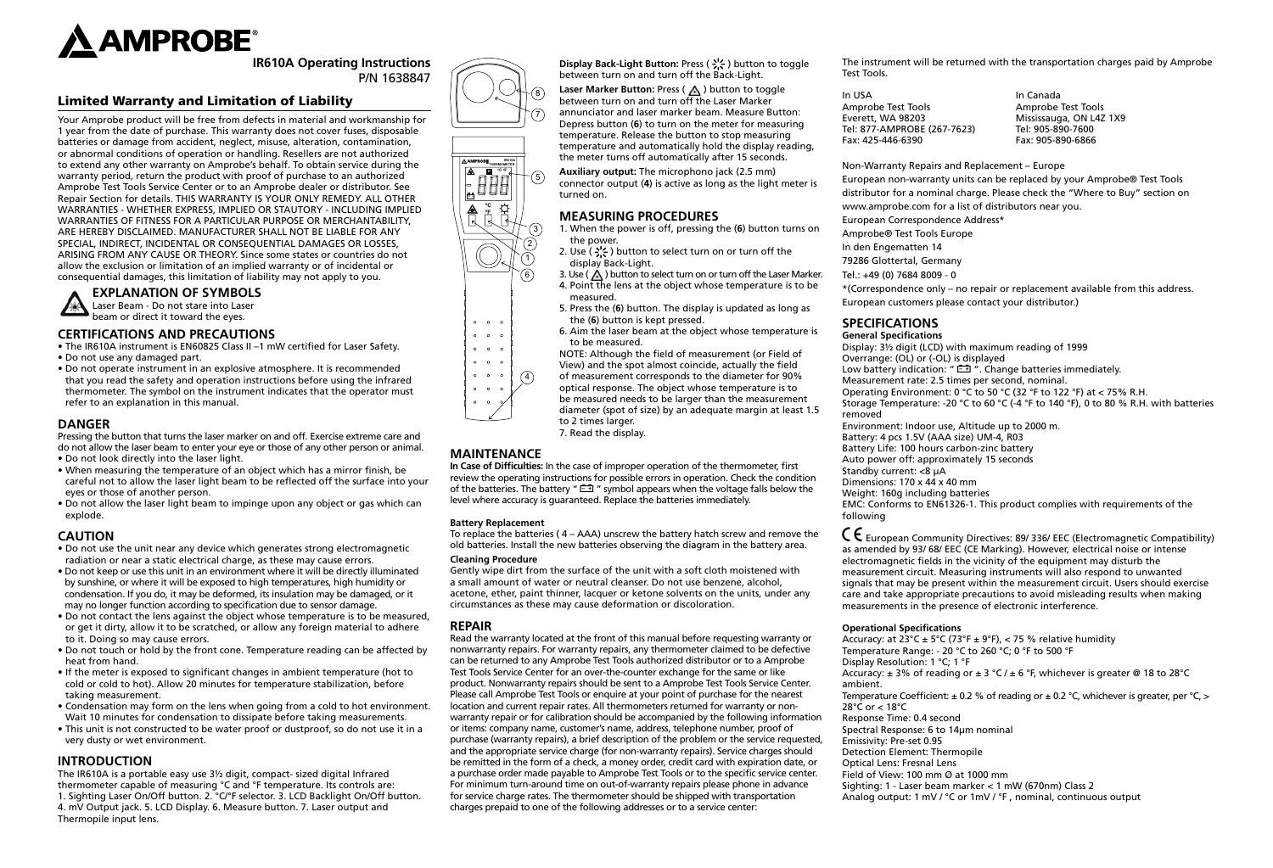

**IR610A Operating Instructions** P/N 1638847

# Limited Warranty and Limitation of Liability

Your Amprobe product will be free from defects in material and workmanship for 1 year from the date of purchase. This warranty does not cover fuses, disposable batteries or damage from accident, neglect, misuse, alteration, contamination, or abnormal conditions of operation or handling. Resellers are not authorized to extend any other warranty on Amprobe's behalf. To obtain service during the warranty period, return the product with proof of purchase to an authorized Amprobe Test Tools Service Center or to an Amprobe dealer or distributor. See Repair Section for details. THIS WARRANTY IS YOUR ONLY REMEDY. ALL OTHER WARRANTIES - WHETHER EXPRESS, IMPLIED OR STAUTORY - INCLUDING IMPLIED WARRANTIES OF FITNESS FOR A PARTICULAR PURPOSE OR MERCHANTABILITY, ARE HEREBY DISCLAIMED. MANUFACTURER SHALL NOT BE LIABLE FOR ANY SPECIAL, INDIRECT, INCIDENTAL OR CONSEQUENTIAL DAMAGES OR LOSSES, ARISING FROM ANY CAUSE OR THEORY. Since some states or countries do not allow the exclusion or limitation of an implied warranty or of incidental or consequential damages, this limitation of liability may not apply to you.



#### **EXPLANATION OF SYMBOLS** Laser Beam - Do not stare into Laser

beam or direct it toward the eyes.

## **CERTIFICATIONS AND PRECAUTIONS**

- The IR610A instrument is EN60825 Class II –1 mW certified for Laser Safety.
- Do not use any damaged part.
- Do not operate instrument in an explosive atmosphere. It is recommended that you read the safety and operation instructions before using the infrared thermometer. The symbol on the instrument indicates that the operator must refer to an explanation in this manual.

# **DANGER**

Pressing the button that turns the laser marker on and off. Exercise extreme care and do not allow the laser beam to enter your eye or those of any other person or animal.

- Do not look directly into the laser light.
- When measuring the temperature of an object which has a mirror finish, be careful not to allow the laser light beam to be reflected off the surface into your eyes or those of another person.
- Do not allow the laser light beam to impinge upon any object or gas which can explode.

# **CAUTION**

- Do not use the unit near any device which generates strong electromagnetic radiation or near a static electrical charge, as these may cause errors.
- Do not keep or use this unit in an environment where it will be directly illuminated by sunshine, or where it will be exposed to high temperatures, high humidity or condensation. If you do, it may be deformed, its insulation may be damaged, or it may no longer function according to specification due to sensor damage.
- Do not contact the lens against the object whose temperature is to be measured, or get it dirty, allow it to be scratched, or allow any foreign material to adhere to it. Doing so may cause errors.
- Do not touch or hold by the front cone. Temperature reading can be affected by heat from hand.
- If the meter is exposed to significant changes in ambient temperature (hot to cold or cold to hot). Allow 20 minutes for temperature stabilization, before taking measurement.
- Condensation may form on the lens when going from a cold to hot environment. Wait 10 minutes for condensation to dissipate before taking measurements.
- This unit is not constructed to be water proof or dustproof, so do not use it in a very dusty or wet environment.

# **INTRODUCTION**

The IR610A is a portable easy use 3½ digit, compact- sized digital Infrared thermometer capable of measuring °C and °F temperature. Its controls are: 1. Sighting Laser On/Off button. 2. °C/°F selector. 3. LCD Backlight On/Off button. 4. mV Output jack. 5. LCD Display. 6. Measure button. 7. Laser output and Thermopile input lens.

**Display Back-Light Button: Press (**  $\frac{1}{2}$ ) button to toggle between turn on and turn off the Back-Light. 8

**Laser Marker Button: Press ( A ) button to toggle** between turn on and turn off the Laser Marker annunciator and laser marker beam. Measure Button: Depress button (**6**) to turn on the meter for measuring temperature. Release the button to stop measuring temperature and automatically hold the display reading, the meter turns off automatically after 15 seconds.

**Auxiliary output:** The microphono jack (2.5 mm) connector output (**4**) is active as long as the light meter is turned on.

## **MEASURING PROCEDURES**

- 1. When the power is off, pressing the (**6**) button turns on the power.
- 2. Use ( $\frac{1}{2}$ , ) button to select turn on or turn off the display Back-Light.
- 3. Use ( $\bigwedge$ ) button to select turn on or turn off the Laser Marker. 4. Point the lens at the object whose temperature is to be measured.
- 5. Press the (**6**) button. The display is updated as long as the (**6**) button is kept pressed.
- 6. Aim the laser beam at the object whose temperature is to be measured.
- NOTE: Although the field of measurement (or Field of
- View) and the spot almost coincide, actually the field
- of measurement corresponds to the diameter for 90% optical response. The object whose temperature is to  $\binom{4}{}$ 
	- be measured needs to be larger than the measurement diameter (spot of size) by an adequate margin at least 1.5 to 2 times larger.
		- 7. Read the display.

# **MAINTENANCE**

**In Case of Difficulties:** In the case of improper operation of the thermometer, first review the operating instructions for possible errors in operation. Check the condition of the batteries. The battery " $E = 1$ " symbol appears when the voltage falls below the level where accuracy is guaranteed. Replace the batteries immediately.

#### **Battery Replacement**

To replace the batteries ( 4 – AAA) unscrew the battery hatch screw and remove the old batteries. Install the new batteries observing the diagram in the battery area.

#### **Cleaning Procedure**

Gently wipe dirt from the surface of the unit with a soft cloth moistened with a small amount of water or neutral cleanser. Do not use benzene, alcohol, acetone, ether, paint thinner, lacquer or ketone solvents on the units, under any circumstances as these may cause deformation or discoloration.

#### **REPAIR**

Read the warranty located at the front of this manual before requesting warranty or nonwarranty repairs. For warranty repairs, any thermometer claimed to be defective can be returned to any Amprobe Test Tools authorized distributor or to a Amprobe Test Tools Service Center for an over-the-counter exchange for the same or like product. Nonwarranty repairs should be sent to a Amprobe Test Tools Service Center. Please call Amprobe Test Tools or enquire at your point of purchase for the nearest location and current repair rates. All thermometers returned for warranty or nonwarranty repair or for calibration should be accompanied by the following information or items: company name, customer's name, address, telephone number, proof of purchase (warranty repairs), a brief description of the problem or the service requested, and the appropriate service charge (for non-warranty repairs). Service charges should be remitted in the form of a check, a money order, credit card with expiration date, or a purchase order made payable to Amprobe Test Tools or to the specific service center. For minimum turn-around time on out-of-warranty repairs please phone in advance for service charge rates. The thermometer should be shipped with transportation charges prepaid to one of the following addresses or to a service center:

The instrument will be returned with the transportation charges paid by Amprobe Test Tools.

In USA **In Canada** Amprobe Test Tools<br>
Everett, WA 98203 Mississauga, ON L4Z Tel: 877-AMPROBE (267-7623) Fax: 425-446-6390 Fax: 905-890-6866

Mississauga, ON L4Z 1X9<br>Tel: 905-890-7600

Non-Warranty Repairs and Replacement – Europe

European non-warranty units can be replaced by your Amprobe® Test Tools distributor for a nominal charge. Please check the "Where to Buy" section on www.amprobe.com for a list of distributors near you.

European Correspondence Address\*

Amprobe® Test Tools Europe

In den Engematten 14

79286 Glottertal, Germany

Tel.: +49 (0) 7684 8009 - 0

\*(Correspondence only – no repair or replacement available from this address.

European customers please contact your distributor.)

# **SPECIFICATIONS**

**General Specifications** Display: 3½ digit (LCD) with maximum reading of 1999 Overrange: (OL) or (-OL) is displayed Low battery indication: " $\Box$ ". Change batteries immediately. Measurement rate: 2.5 times per second, nominal. Operating Environment: 0 °C to 50 °C (32 °F to 122 °F) at < 75% R.H. Storage Temperature: -20 °C to 60 °C (-4 °F to 140 °F), 0 to 80 % R.H. with batteries removed Environment: Indoor use, Altitude up to 2000 m. Battery: 4 pcs 1.5V (AAA size) UM-4, R03 Battery Life: 100 hours carbon-zinc battery Auto power off: approximately 15 seconds Standby current: <8 μA Dimensions: 170 x 44 x 40 mm Weight: 160g including batteries EMC: Conforms to EN61326-1. This product complies with requirements of the following

� European Community Directives: 89/ 336/ EEC (Electromagnetic Compatibility) as amended by 93/ 68/ EEC (CE Marking). However, electrical noise or intense electromagnetic fields in the vicinity of the equipment may disturb the measurement circuit. Measuring instruments will also respond to unwanted signals that may be present within the measurement circuit. Users should exercise care and take appropriate precautions to avoid misleading results when making measurements in the presence of electronic interference.

#### **Operational Specifications**

Accuracy: at  $23^{\circ}$ C ± 5°C (73°F ± 9°F), < 75 % relative humidity Temperature Range: - 20 °C to 260 °C; 0 °F to 500 °F Display Resolution: 1 °C; 1 °F Accuracy:  $\pm$  3% of reading or  $\pm$  3 °C /  $\pm$  6 °F, whichever is greater @ 18 to 28°C ambient. Temperature Coefficient:  $\pm$  0.2 % of reading or  $\pm$  0.2 °C, whichever is greater, per °C, > 28°C or < 18°C Response Time: 0.4 second Spectral Response: 6 to 14μm nominal Emissivity: Pre-set 0.95 Detection Element: Thermopile Optical Lens: Fresnal Lens Field of View: 100 mm Ø at 1000 mm Sighting: 1 - Laser beam marker < 1 mW (670nm) Class 2 Analog output: 1 mV / °C or 1mV / °F , nominal, continuous output



5

7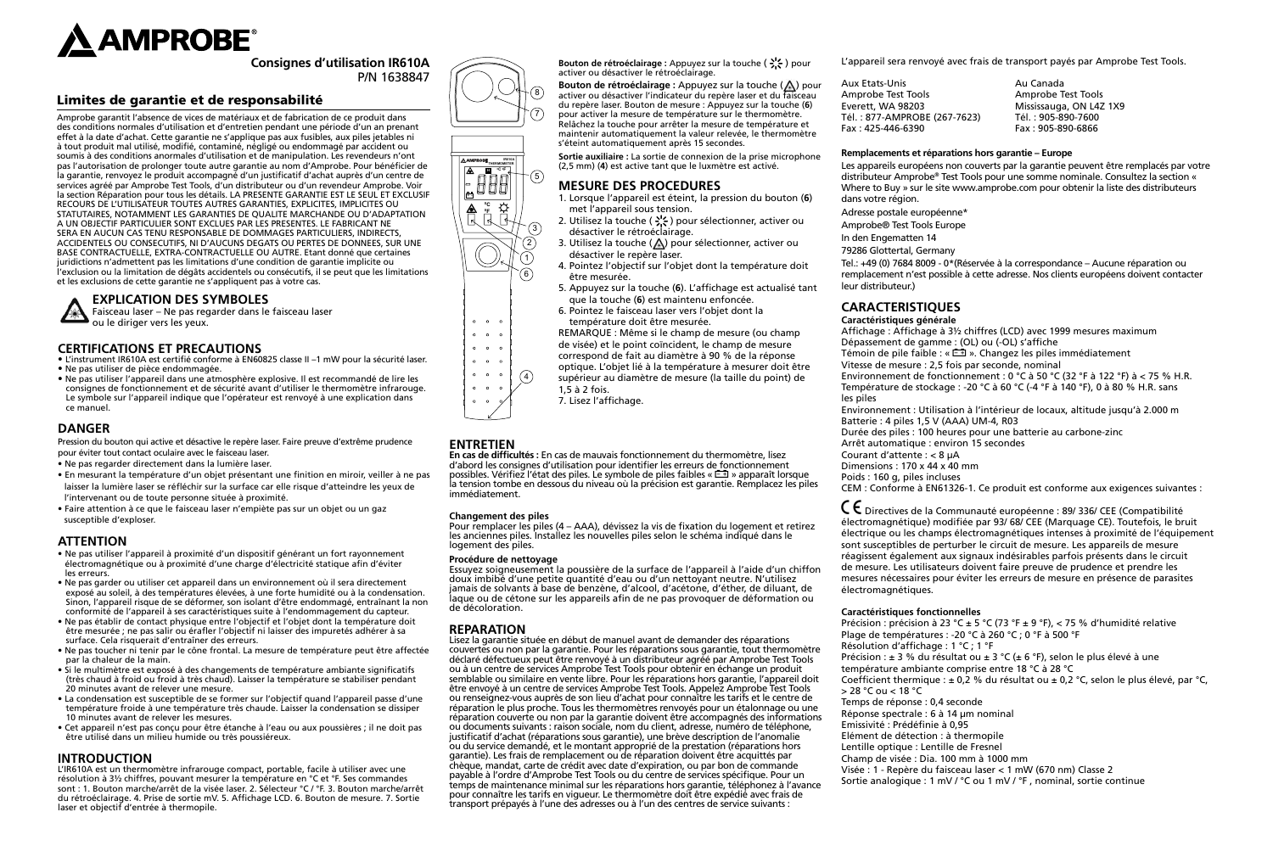

**Consignes d'utilisation IR610A** P/N 1638847

# Limites de garantie et de responsabilité

Amprobe garantit l'absence de vices de matériaux et de fabrication de ce produit dans des conditions normales d'utilisation et d'entretien pendant une période d'un an prenant effet à la date d'achat. Cette garantie ne s'applique pas aux fusibles, aux piles jetables ni à tout produit mal utilisé, modifié, contaminé, négligé ou endommagé par accident ou soumis à des conditions anormales d'utilisation et de manipulation. Les revendeurs n'ont pas l'autorisation de prolonger toute autre garantie au nom d'Amprobe. Pour bénéficier de la garantie, renvoyez le produit accompagné d'un justificatif d'achat auprès d'un centre de services agréé par Amprobe Test Tools, d'un distributeur ou d'un revendeur Amprobe. Voir la section Réparation pour tous les détails. LA PRESENTE GARANTIE EST LE SEUL ET EXCLUSIF RECOURS DE L'UTILISATEUR TOUTES AUTRES GARANTIES, EXPLICITES, IMPLICITES OU STATUTAIRES, NOTAMMENT LES GARANTIES DE QUALITE MARCHANDE OU D'ADAPTATION A UN OBJECTIF PARTICULIER SONT EXCLUES PAR LES PRESENTES. LE FABRICANT NE SERA EN AUCUN CAS TENU RESPONSABLE DE DOMMAGES PARTICULIERS, INDIRECTS, ACCIDENTELS OU CONSECUTIFS, NI D'AUCUNS DEGATS OU PERTES DE DONNEES, SUR UNE BASE CONTRACTUELLE, EXTRA-CONTRACTUELLE OU AUTRE. Etant donné que certaines juridictions n'admettent pas les limitations d'une condition de garantie implicite ou l'exclusion ou la limitation de dégâts accidentels ou consécutifs, il se peut que les limitations et les exclusions de cette garantie ne s'appliquent pas à votre cas.

## **EXPLICATION DES SYMBOLES**

Faisceau laser – Ne pas regarder dans le faisceau laser ou le diriger vers les yeux.

#### **CERTIFICATIONS ET PRECAUTIONS**

- L'instrument IR610A est certifié conforme à EN60825 classe II –1 mW pour la sécurité laser. • Ne pas utiliser de pièce endommagée.
- Ne pas utiliser l'appareil dans une atmosphère explosive. Il est recommandé de lire les consignes de fonctionnement et de sécurité avant d'utiliser le thermomètre infrarouge. Le symbole sur l'appareil indique que l'opérateur est renvoyé à une explication dans ce manuel.

# **DANGER**

Pression du bouton qui active et désactive le repère laser. Faire preuve d'extrême prudence pour éviter tout contact oculaire avec le faisceau laser.

- Ne pas regarder directement dans la lumière laser.
- En mesurant la température d'un objet présentant une finition en miroir, veiller à ne pas laisser la lumière laser se réfléchir sur la surface car elle risque d'atteindre les yeux de l'intervenant ou de toute personne située à proximité.
- 
- Faire attention à ce que le faisceau laser n'empiète pas sur un objet ou un gaz susceptible d'exploser.

## **ATTENTION**

- Ne pas utiliser l'appareil à proximité d'un dispositif générant un fort rayonnement électromagnétique ou à proximité d'une charge d'électricité statique afin d'éviter les erreurs.
- Ne pas garder ou utiliser cet appareil dans un environnement où il sera directement exposé au soleil, à des températures élevées, à une forte humidité ou à la condensation. Sinon, l'appareil risque de se déformer, son isolant d'être endommagé, entraînant la non conformité de l'appareil à ses caractéristiques suite à l'endommagement du capteur.
- Ne pas établir de contact physique entre l'objectif et l'objet dont la température doit être mesurée ; ne pas salir ou érafler l'objectif ni laisser des impuretés adhérer à sa surface. Cela risquerait d'entraîner des erreurs.
- Ne pas toucher ni tenir par le cône frontal. La mesure de température peut être affectée par la chaleur de la main.
- Si le multimètre est exposé à des changements de température ambiante significatifs (très chaud à froid ou froid à très chaud). Laisser la température se stabiliser pendant 20 minutes avant de relever une mesure.
- La condensation est susceptible de se former sur l'objectif quand l'appareil passe d'une température froide à une température très chaude. Laisser la condensation se dissiper 10 minutes avant de relever les mesures.
- Cet appareil n'est pas conçu pour être étanche à l'eau ou aux poussières ; il ne doit pas être utilisé dans un milieu humide ou très poussiéreux.

# **INTRODUCTION**

L'IR610A est un thermomètre infrarouge compact, portable, facile à utiliser avec une résolution à 3½ chiffres, pouvant mesurer la température en °C et °F. Ses commandes sont : 1. Bouton marche/arrêt de la visée laser. 2. Sélecteur °C / °F. 3. Bouton marche/arrêt du rétroéclairage. 4. Prise de sortie mV. 5. Affichage LCD. 6. Bouton de mesure. 7. Sortie laser et objectif d'entrée à thermopile.





Bouton de rétroéclairage : Appuyez sur la touche ( -<sup>1</sup>/<sub>2</sub> ) pour activer ou désactiver le rétroéclairage.

**Bouton de rétroéclairage :** Appuyez sur la touche (A) pour activer ou désactiver l'indicateur du repère laser et du faisceau du repère laser. Bouton de mesure : Appuyez sur la touche (**6**) pour activer la mesure de température sur le thermomètre. Relâchez la touche pour arrêter la mesure de température et maintenir automatiquement la valeur relevée, le thermomètre s'éteint automatiquement après 15 secondes.

**Sortie auxiliaire :** La sortie de connexion de la prise microphone (2,5 mm) (**4**) est active tant que le luxmètre est activé.

# **MESURE DES PROCEDURES**

- 1. Lorsque l'appareil est éteint, la pression du bouton (**6**) met l'appareil sous tension.
- 2. Utilisez la touche ( $\frac{1}{2}$ ) pour sélectionner, activer ou désactiver le rétroéclairage.
- 3. Utilisez la touche  $(\triangle)$  pour sélectionner, activer ou désactiver le repère laser.
- 4. Pointez l'objectif sur l'objet dont la température doit être mesurée.
- 5. Appuyez sur la touche (**6**). L'affichage est actualisé tant que la touche (**6**) est maintenu enfoncée.
- 6. Pointez le faisceau laser vers l'objet dont la température doit être mesurée.
- REMARQUE : Même si le champ de mesure (ou champ
- de visée) et le point coïncident, le champ de mesure
	- correspond de fait au diamètre à 90 % de la réponse
- optique. L'objet lié à la température à mesurer doit être
- supérieur au diamètre de mesure (la taille du point) de  $\circled{4}$
- 1,5 à 2 fois.
	- 7. Lisez l'affichage.

# **ENTRETIEN**

**En cas de difficultés :** En cas de mauvais fonctionnement du thermomètre, lisez d'abord les consignes d'utilisation pour identifier les erreurs de fonctionnement possibles. Vérifiez l'état des piles. Le symbole de piles faibles «  $\Box$  » apparaît lorsque la tension tombe en dessous du niveau où la précision est garantie. Remplacez les piles immédiatement.

#### **Changement des piles**

Pour remplacer les piles (4 – AAA), dévissez la vis de fixation du logement et retirez les anciennes piles. Installez les nouvelles piles selon le schéma indiqué dans le logement des piles.

#### **Procédure de nettoyage**

Essuyez soigneusement la poussière de la surface de l'appareil à l'aide d'un chiffon doux imbibé d'une petite quantité d'eau ou d'un nettoyant neutre. N'utilisez jamais de solvants à base de benzène, d'alcool, d'acétone, d'éther, de diluant, de laque ou de cétone sur les appareils afin de ne pas provoquer de déformation ou de décoloration.

# **REPARATION**

Lisez la garantie située en début de manuel avant de demander des réparations couvertes ou non par la garantie. Pour les réparations sous garantie, tout thermomètre déclaré défectueux peut être renvoyé à un distributeur agréé par Amprobe Test Tools ou à un centre de services Amprobe Test Tools pour obtenir en échange un produit semblable ou similaire en vente libre. Pour les réparations hors garantie, l'appareil doit être envoyé à un centre de services Amprobe Test Tools. Appelez Amprobe Test Tools ou renseignez-vous auprès de son lieu d'achat pour connaître les tarifs et le centre de réparation le plus proche. Tous les thermomètres renvoyés pour un étalonnage ou une réparation couverte ou non par la garantie doivent être accompagnés des informations ou documents suivants : raison sociale, nom du client, adresse, numéro de téléphone, justificatif d'achat (réparations sous garantie), une brève description de l'anomalie ou du service demandé, et le montant approprié de la prestation (réparations hors garantie). Les frais de remplacement ou de réparation doivent être acquittés par chèque, mandat, carte de crédit avec date d'expiration, ou par bon de commande payable à l'ordre d'Amprobe Test Tools ou du centre de services spécifique. Pour un temps de maintenance minimal sur les réparations hors garantie, téléphonez à l'avance pour connaître les tarifs en vigueur. Le thermomètre doit être expédié avec frais de transport prépayés à l'une des adresses ou à l'un des centres de service suivants :

L'appareil sera renvoyé avec frais de transport payés par Amprobe Test Tools.

Aux Etats-Unis Au Canada Amprobe Test Tools<br>Everett. WA 98203 Mississauga. ON L4Z Tél. : 877-AMPROBE (267-7623) Tél. : 905-890-7600 Fax: 425-446-6390

Mississauga, ON L4Z 1X9<br>Tél.: 905-890-7600

#### **Remplacements et réparations hors garantie – Europe**

Les appareils européens non couverts par la garantie peuvent être remplacés par votre distributeur Amprobe® Test Tools pour une somme nominale. Consultez la section « Where to Buy » sur le site www.amprobe.com pour obtenir la liste des distributeurs dans votre région.

- Adresse postale européenne\*
- Amprobe® Test Tools Europe
- In den Engematten 14
- 79286 Glottertal, Germany

Tel.: +49 (0) 7684 8009 - 0\*(Réservée à la correspondance – Aucune réparation ou remplacement n'est possible à cette adresse. Nos clients européens doivent contacter leur distributeur.)

# **CARACTERISTIQUES**

**Caractéristiques générale**

Affichage : Affichage à 3½ chiffres (LCD) avec 1999 mesures maximum Dépassement de gamme : (OL) ou (-OL) s'affiche

Témoin de pile faible : «  $\equiv$  ». Changez les piles immédiatement

- Vitesse de mesure : 2,5 fois par seconde, nominal
- Environnement de fonctionnement : 0 °C à 50 °C (32 °F à 122 °F) à < 75 % H.R. Température de stockage : -20 °C à 60 °C (-4 °F à 140 °F), 0 à 80 % H.R. sans

les piles

- Environnement : Utilisation à l'intérieur de locaux, altitude jusqu'à 2.000 m Batterie : 4 piles 1,5 V (AAA) UM-4, R03
- Durée des piles : 100 heures pour une batterie au carbone-zinc
- Arrêt automatique : environ 15 secondes
- Courant d'attente : < 8 µA Dimensions : 170 x 44 x 40 mm
- Poids : 160 g, piles incluses

CEM : Conforme à EN61326-1. Ce produit est conforme aux exigences suivantes :

� Directives de la Communauté européenne : 89/ 336/ CEE (Compatibilité électromagnétique) modifiée par 93/ 68/ CEE (Marquage CE). Toutefois, le bruit électrique ou les champs électromagnétiques intenses à proximité de l'équipement sont susceptibles de perturber le circuit de mesure. Les appareils de mesure réagissent également aux signaux indésirables parfois présents dans le circuit de mesure. Les utilisateurs doivent faire preuve de prudence et prendre les mesures nécessaires pour éviter les erreurs de mesure en présence de parasites électromagnétiques.

#### **Caractéristiques fonctionnelles**

Précision : précision à 23 °C ± 5 °C (73 °F ± 9 °F), < 75 % d'humidité relative Plage de températures : -20 °C à 260 °C ; 0 °F à 500 °F Résolution d'affichage : 1 °C ; 1 °F Précision : ± 3 % du résultat ou ± 3 °C (± 6 °F), selon le plus élevé à une température ambiante comprise entre 18 °C à 28 °C Coefficient thermique :  $\pm$  0,2 % du résultat ou  $\pm$  0,2 °C, selon le plus élevé, par °C, > 28 °C ou < 18 °C Temps de réponse : 0,4 seconde Réponse spectrale : 6 à 14 µm nominal Emissivité : Prédéfinie à 0,95 Elément de détection : à thermopile Lentille optique : Lentille de Fresnel Champ de visée : Dia. 100 mm à 1000 mm Visée : 1 - Repère du faisceau laser < 1 mW (670 nm) Classe 2 Sortie analogique : 1 mV / °C ou 1 mV / °F , nominal, sortie continue

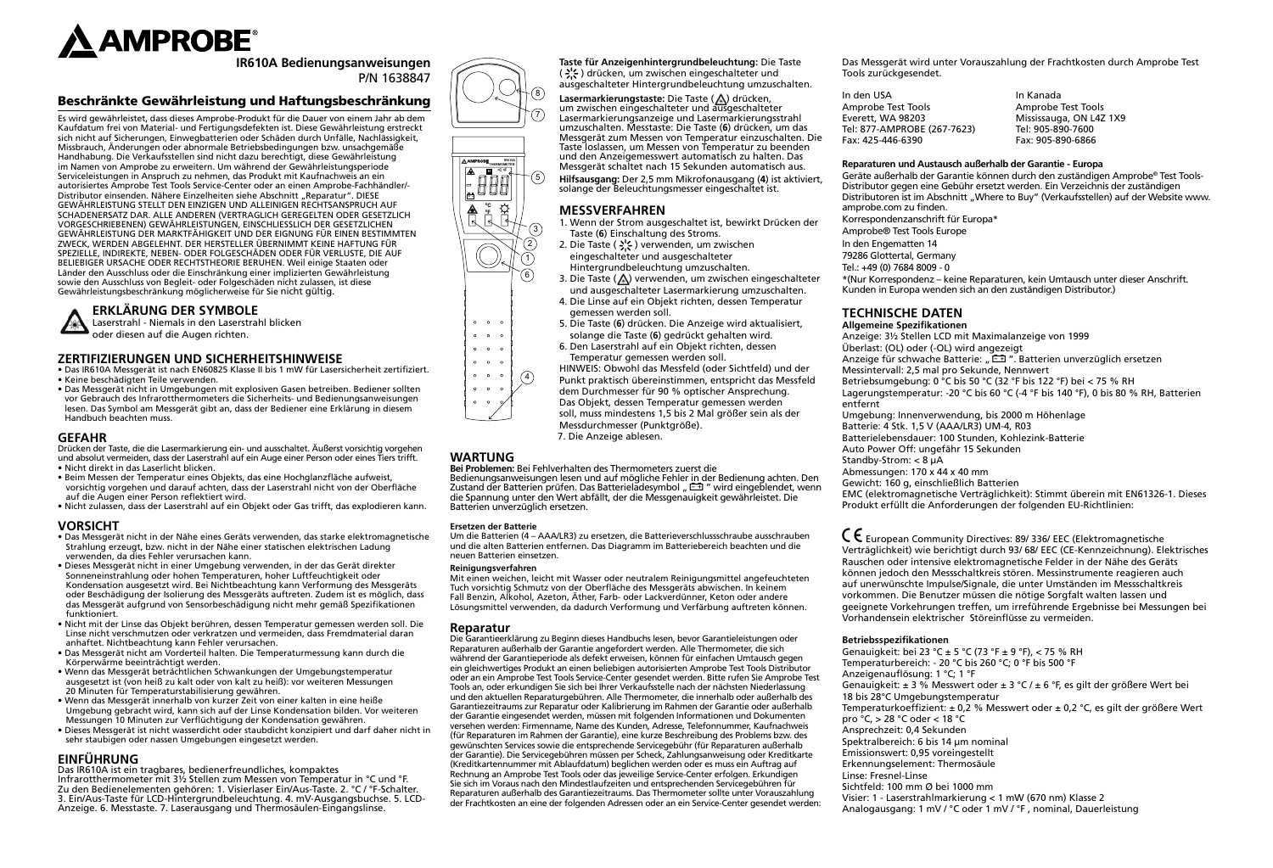

**IR610A Bedienungsanweisungen** P/N 1638847

# Beschränkte Gewährleistung und Haftungsbeschränkung

Es wird gewährleistet, dass dieses Amprobe-Produkt für die Dauer von einem Jahr ab dem Kaufdatum frei von Material- und Fertigungsdefekten ist. Diese Gewährleistung erstreckt sich nicht auf Sicherungen, Einwegbatterien oder Schäden durch Unfälle, Nachlässigkeit, Missbrauch, Änderungen oder abnormale Betriebsbedingungen bzw. unsachgemäße Handhabung. Die Verkaufsstellen sind nicht dazu berechtigt, diese Gewährleistung im Namen von Amprobe zu erweitern. Um während der Gewährleistungsperiode Serviceleistungen in Anspruch zu nehmen, das Produkt mit Kaufnachweis an ein autorisiertes Amprobe Test Tools Service-Center oder an einen Amprobe-Fachhändler/- Distributor einsenden. Nähere Einzelheiten siehe Abschnitt "Reparatur". DIESE GEWÄHRLEISTUNG STELLT DEN EINZIGEN UND ALLEINIGEN RECHTSANSPRUCH AUF SCHADENERSATZ DAR. ALLE ANDEREN (VERTRAGLICH GEREGELTEN ODER GESETZLICH VORGESCHRIEBENEN) GEWÄHRLEISTUNGEN, EINSCHLIESSLICH DER GESETZLICHEN GEWÄHRLEISTUNG DER MARKTFÄHIGKEIT UND DER EIGNUNG FÜR EINEN BESTIMMTEN ZWECK, WERDEN ABGELEHNT. DER HERSTELLER ÜBERNIMMT KEINE HAFTUNG FÜR SPEZIELLE, INDIREKTE, NEBEN- ODER FOLGESCHÄDEN ODER FÜR VERLUSTE, DIE AUF BELIEBIGER URSACHE ODER RECHTSTHEORIE BERUHEN. Weil einige Staaten oder Länder den Ausschluss oder die Einschränkung einer implizierten Gewährleistung sowie den Ausschluss von Begleit- oder Folgeschäden nicht zulassen, ist diese Gewährleistungsbeschränkung möglicherweise für Sie nicht gültig.



# **ERKLÄRUNG DER SYMBOLE**

Laserstrahl - Niemals in den Laserstrahl blicken oder diesen auf die Augen richten.

#### **ZERTIFIZIERUNGEN UND SICHERHEITSHINWEISE**

• Das IR610A Messgerät ist nach EN60825 Klasse II bis 1 mW für Lasersicherheit zertifiziert. • Keine beschädigten Teile verwenden.

• Das Messgerät nicht in Umgebungen mit explosiven Gasen betreiben. Bediener sollten vor Gebrauch des Infrarotthermometers die Sicherheits- und Bedienungsanweisungen lesen. Das Symbol am Messgerät gibt an, dass der Bediener eine Erklärung in diesem Handbuch beachten muss.

#### **GEFAHR**

Drücken der Taste, die die Lasermarkierung ein- und ausschaltet. Äußerst vorsichtig vorgehen und absolut vermeiden, dass der Laserstrahl auf ein Auge einer Person oder eines Tiers trifft. • Nicht direkt in das Laserlicht blicken.

- Beim Messen der Temperatur eines Objekts, das eine Hochglanzfläche aufweist, vorsichtig vorgehen und darauf achten, dass der Laserstrahl nicht von der Oberfläche auf die Augen einer Person reflektiert wird.
- Nicht zulassen, dass der Laserstrahl auf ein Objekt oder Gas trifft, das explodieren kann.

#### **VORSICHT**

- Das Messgerät nicht in der Nähe eines Geräts verwenden, das starke elektromagnetische Strahlung erzeugt, bzw. nicht in der Nähe einer statischen elektrischen Ladung verwenden, da dies Fehler verursachen kann.
- Dieses Messgerät nicht in einer Umgebung verwenden, in der das Gerät direkter Sonneneinstrahlung oder hohen Temperaturen, hoher Luftfeuchtigkeit oder Kondensation ausgesetzt wird. Bei Nichtbeachtung kann Verformung des Messgeräts oder Beschädigung der Isolierung des Messgeräts auftreten. Zudem ist es möglich, dass das Messgerät aufgrund von Sensorbeschädigung nicht mehr gemäß Spezifikationen funktioniert.
- Nicht mit der Linse das Objekt berühren, dessen Temperatur gemessen werden soll. Die Linse nicht verschmutzen oder verkratzen und vermeiden, dass Fremdmaterial daran anhaftet. Nichtbeachtung kann Fehler verursachen.
- Das Messgerät nicht am Vorderteil halten. Die Temperaturmessung kann durch die Körperwärme beeinträchtigt werden.
- Wenn das Messgerät beträchtlichen Schwankungen der Umgebungstemperatur ausgesetzt ist (von heiß zu kalt oder von kalt zu heiß): vor weiteren Messungen 20 Minuten für Temperaturstabilisierung gewähren.
- Wenn das Messgerät innerhalb von kurzer Zeit von einer kalten in eine heiße Umgebung gebracht wird, kann sich auf der Linse Kondensation bilden. Vor weiteren Messungen 10 Minuten zur Verflüchtigung der Kondensation gewähren.
- Dieses Messgerät ist nicht wasserdicht oder staubdicht konzipiert und darf daher nicht in sehr staubigen oder nassen Umgebungen eingesetzt werden.

#### **EINFÜHRUNG**

Das IR610A ist ein tragbares, bedienerfreundliches, kompaktes Infrarotthermometer mit 3½ Stellen zum Messen von Temperatur in °C und °F. Zu den Bedienelementen gehören: 1. Visierlaser Ein/Aus-Taste. 2. °C / °F-Schalter. 3. Ein/Aus-Taste für LCD-Hintergrundbeleuchtung. 4. mV-Ausgangsbuchse. 5. LCD-Anzeige. 6. Messtaste. 7. Laserausgang und Thermosäulen-Eingangslinse.





7

8

**Taste für Anzeigenhintergrundbeleuchtung:** Die Taste (  $\leq$  ) drücken, um zwischen eingeschalteter und ausgeschalteter Hintergrundbeleuchtung umzuschalten.

Lasermarkierungstaste: Die Taste (A) drücken, um zwischen eingeschalteter und ausgeschalteter Lasermarkierungsanzeige und Lasermarkierungsstrahl umzuschalten. Messtaste: Die Taste (**6**) drücken, um das Messgerät zum Messen von Temperatur einzuschalten. Die Taste loslassen, um Messen von Temperatur zu beenden und den Anzeigemesswert automatisch zu halten. Das Messgerät schaltet nach 15 Sekunden automatisch aus.

**Hilfsausgang:** Der 2,5 mm Mikrofonausgang (**4**) ist aktiviert, solange der Beleuchtungsmesser eingeschaltet ist. 5

# **MESSVERFAHREN**

- 1. Wenn der Strom ausgeschaltet ist, bewirkt Drücken der Taste (**6**) Einschaltung des Stroms.
- 2. Die Taste ( ) verwenden, um zwischen eingeschalteter und ausgeschalteter Hintergrundbeleuchtung umzuschalten.
- 3. Die Taste (A) verwenden, um zwischen eingeschalteter und ausgeschalteter Lasermarkierung umzuschalten.
- 4. Die Linse auf ein Objekt richten, dessen Temperatur gemessen werden soll.
- 5. Die Taste (**6**) drücken. Die Anzeige wird aktualisiert, solange die Taste (**6**) gedrückt gehalten wird.
- 6. Den Laserstrahl auf ein Objekt richten, dessen Temperatur gemessen werden soll.
- HINWEIS: Obwohl das Messfeld (oder Sichtfeld) und der
- Punkt praktisch übereinstimmen, entspricht das Messfeld
	- dem Durchmesser für 90 % optischer Ansprechung. Das Objekt, dessen Temperatur gemessen werden soll, muss mindestens 1,5 bis 2 Mal größer sein als der Messdurchmesser (Punktgröße). 7. Die Anzeige ablesen.

# **WARTUNG**

#### **Bei Problemen:** Bei Fehlverhalten des Thermometers zuerst die

Bedienungsanweisungen lesen und auf mögliche Fehler in der Bedienung achten. Den Zustand der Batterien prüfen. Das Batterieladesymbol "  $\Xi$  " wird eingeblendet, wenn die Spannung unter den Wert abfällt, der die Messgenauigkeit gewährleistet. Die Batterien unverzüglich ersetzen.

#### **Ersetzen der Batterie**

Um die Batterien (4 – AAA/LR3) zu ersetzen, die Batterieverschlussschraube ausschrauben und die alten Batterien entfernen. Das Diagramm im Batteriebereich beachten und die neuen Batterien einsetzen.

#### **Reinigungsverfahren**

Mit einen weichen, leicht mit Wasser oder neutralem Reinigungsmittel angefeuchteten Tuch vorsichtig Schmutz von der Oberfläche des Messgeräts abwischen. In keinem Fall Benzin, Alkohol, Azeton, Äther, Farb- oder Lackverdünner, Keton oder andere Lösungsmittel verwenden, da dadurch Verformung und Verfärbung auftreten können.

#### **Reparatur**

Die Garantieerklärung zu Beginn dieses Handbuchs lesen, bevor Garantieleistungen oder Reparaturen außerhalb der Garantie angefordert werden. Alle Thermometer, die sich während der Garantieperiode als defekt erweisen, können für einfachen Umtausch gegen ein gleichwertiges Produkt an einen beliebigen autorisierten Amprobe Test Tools Distributor oder an ein Amprobe Test Tools Service-Center gesendet werden. Bitte rufen Sie Amprobe Test Tools an, oder erkundigen Sie sich bei Ihrer Verkaufsstelle nach der nächsten Niederlassung und den aktuellen Reparaturgebühren. Alle Thermometer, die innerhalb oder außerhalb des Garantiezeitraums zur Reparatur oder Kalibrierung im Rahmen der Garantie oder außerhalb der Garantie eingesendet werden, müssen mit folgenden Informationen und Dokumenten versehen werden: Firmenname, Name des Kunden, Adresse, Telefonnummer, Kaufnachweis (für Reparaturen im Rahmen der Garantie), eine kurze Beschreibung des Problems bzw. des gewünschten Services sowie die entsprechende Servicegebühr (für Reparaturen außerhalb der Garantie). Die Servicegebühren müssen per Scheck, Zahlungsanweisung oder Kreditkarte (Kreditkartennummer mit Ablaufdatum) beglichen werden oder es muss ein Auftrag auf Rechnung an Amprobe Test Tools oder das jeweilige Service-Center erfolgen. Erkundigen Sie sich im Voraus nach den Mindestlaufzeiten und entsprechenden Servicegebühren für Reparaturen außerhalb des Garantiezeitraums. Das Thermometer sollte unter Vorauszahlung der Frachtkosten an eine der folgenden Adressen oder an ein Service-Center gesendet werden: Das Messgerät wird unter Vorauszahlung der Frachtkosten durch Amprobe Test Tools zurückgesendet.

In den USA In Kanada Amprobe Test Tools<br>
Everett, WA 98203 Mississauga, ON L4Z Mississauga, ON L4Z 1X9<br>Tel: 905-890-7600 Tel: 877-AMPROBE (267-7623) Fax: 425-446-6390 Fax: 905-890-6866

#### **Reparaturen und Austausch außerhalb der Garantie - Europa**

Geräte außerhalb der Garantie können durch den zuständigen Amprobe® Test Tools-Distributor gegen eine Gebühr ersetzt werden. Ein Verzeichnis der zuständigen Distributoren ist im Abschnitt "Where to Buy" (Verkaufsstellen) auf der Website www. amprobe.com zu finden.

Korrespondenzanschrift für Europa\*

- Amprobe® Test Tools Europe
- In den Engematten 14

79286 Glottertal, Germany

Tel.: +49 (0) 7684 8009 - 0

\*(Nur Korrespondenz – keine Reparaturen, kein Umtausch unter dieser Anschrift. Kunden in Europa wenden sich an den zuständigen Distributor.)

# **TECHNISCHE DATEN**

**Allgemeine Spezifikationen** Anzeige: 3½ Stellen LCD mit Maximalanzeige von 1999 Überlast: (OL) oder (-OL) wird angezeigt Anzeige für schwache Batterie: "EEI". Batterien unverzüglich ersetzen Messintervall: 2,5 mal pro Sekunde, Nennwert Betriebsumgebung: 0 °C bis 50 °C (32 °F bis 122 °F) bei < 75 % RH Lagerungstemperatur: -20 °C bis 60 °C (-4 °F bis 140 °F), 0 bis 80 % RH, Batterien entfernt Umgebung: Innenverwendung, bis 2000 m Höhenlage Batterie: 4 Stk. 1,5 V (AAA/LR3) UM-4, R03 Batterielebensdauer: 100 Stunden, Kohlezink-Batterie Auto Power Off: ungefähr 15 Sekunden Standby-Strom: < 8 µA Abmessungen: 170 x 44 x 40 mm Gewicht: 160 g, einschließlich Batterien EMC (elektromagnetische Verträglichkeit): Stimmt überein mit EN61326-1. Dieses

Produkt erfüllt die Anforderungen der folgenden EU-Richtlinien:

� European Community Directives: 89/ 336/ EEC (Elektromagnetische Verträglichkeit) wie berichtigt durch 93/ 68/ EEC (CE-Kennzeichnung). Elektrisches Rauschen oder intensive elektromagnetische Felder in der Nähe des Geräts können jedoch den Messschaltkreis stören. Messinstrumente reagieren auch auf unerwünschte Impulse/Signale, die unter Umständen im Messschaltkreis vorkommen. Die Benutzer müssen die nötige Sorgfalt walten lassen und geeignete Vorkehrungen treffen, um irreführende Ergebnisse bei Messungen bei Vorhandensein elektrischer Störeinflüsse zu vermeiden.

#### **Betriebsspezifikationen**

Genauigkeit: bei 23 °C ± 5 °C (73 °F ± 9 °F), < 75 % RH Temperaturbereich: - 20 °C bis 260 °C; 0 °F bis 500 °F Anzeigenauflösung: 1 °C; 1 °F Genauigkeit: ± 3 % Messwert oder ± 3 °C / ± 6 °F, es gilt der größere Wert bei 18 bis 28°C Umgebungstemperatur Temperaturkoeffizient: ± 0,2 % Messwert oder ± 0,2 °C, es gilt der größere Wert pro °C, > 28 °C oder < 18 °C Ansprechzeit: 0,4 Sekunden Spektralbereich: 6 bis 14 µm nominal Emissionswert: 0,95 voreingestellt Erkennungselement: Thermosäule Linse: Fresnel-Linse Sichtfeld: 100 mm Ø bei 1000 mm Visier: 1 - Laserstrahlmarkierung < 1 mW (670 nm) Klasse 2 Analogausgang: 1 mV / °C oder 1 mV / °F , nominal, Dauerleistung







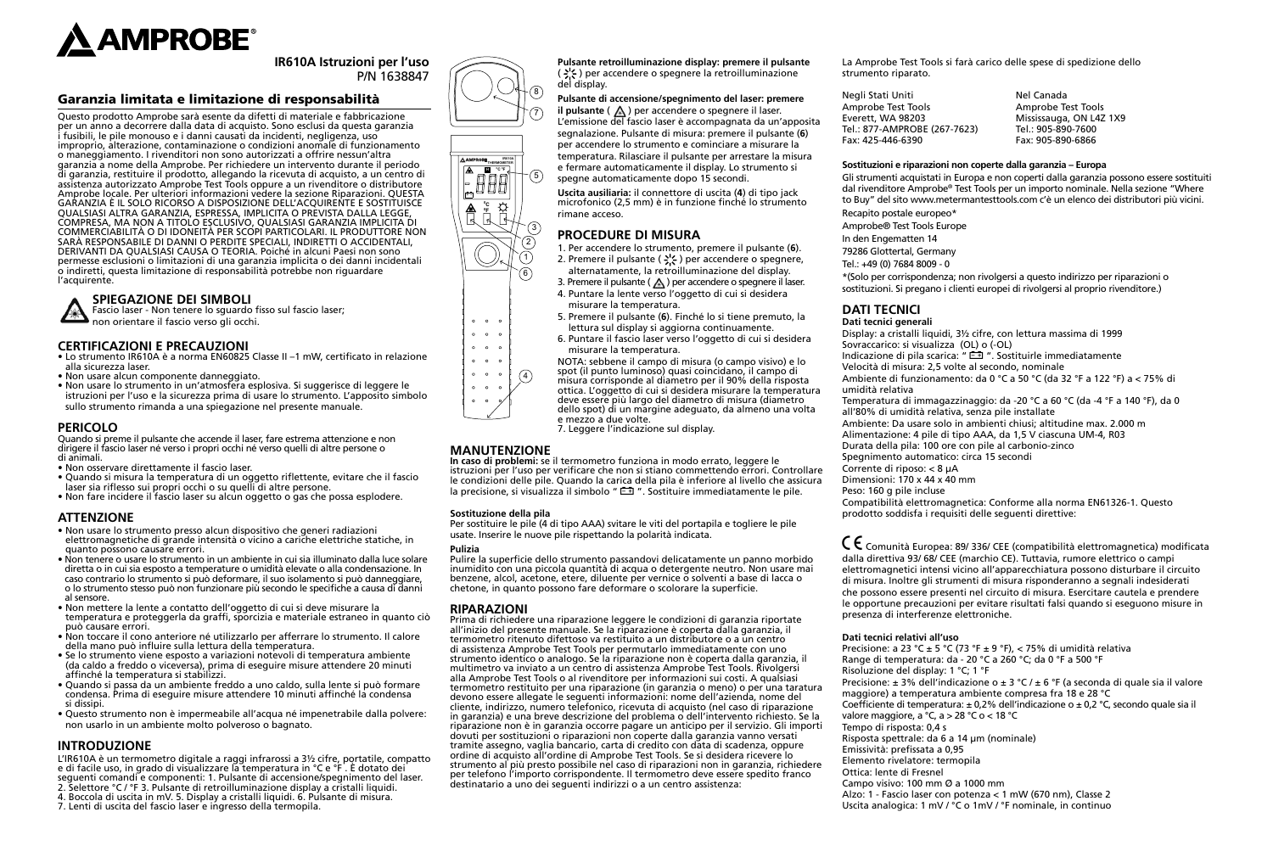

**IR610A Istruzioni per l'uso** P/N 1638847

# Garanzia limitata e limitazione di responsabilità

Questo prodotto Amprobe sarà esente da difetti di materiale e fabbricazione per un anno a decorrere dalla data di acquisto. Sono esclusi da questa garanzia i fusibili, le pile monouso e i danni causati da incidenti, negligenza, uso improprio, alterazione, contaminazione o condizioni anomale di funzionamento o maneggiamento. I rivenditori non sono autorizzati a offrire nessun'altra garanzia a nome della Amprobe. Per richiedere un intervento durante il periodo di garanzia, restituire il prodotto, allegando la ricevuta di acquisto, a un centro di assistenza autorizzato Amprobe Test Tools oppure a un rivenditore o distributore Amprobe locale. Per ulteriori informazioni vedere la sezione Riparazioni. QUESTA GARANZIA È IL SOLO RICORSO A DISPOSIZIONE DELL'ACQUIRENTE E SOSTITUISCE QUALSIASI ALTRA GARANZIA, ESPRESSA, IMPLICITA O PREVISTA DALLA LEGGE, COMPRESA, MA NON A TITOLO ESCLUSIVO, QUALSIASI GARANZIA IMPLICITA DI COMMERCIABILITÀ O DI IDONEITÀ PER SCOPI PARTICOLARI. IL PRODUTTORE NON SARÀ RESPONSABILE DI DANNI O PERDITE SPECIALI, INDIRETTI O ACCIDENTALI, DERIVANTI DA QUALSIASI CAUSA O TEORIA. Poiché in alcuni Paesi non sono permesse esclusioni o limitazioni di una garanzia implicita o dei danni incidentali o indiretti, questa limitazione di responsabilità potrebbe non riguardare l'acquirente.

# **SPIEGAZIONE DEI SIMBOLI**

Fascio laser - Non tenere lo sguardo fisso sul fascio laser;

non orientare il fascio verso gli occhi.

# **CERTIFICAZIONI E PRECAUZIONI**

- Lo strumento IR610A è a norma EN60825 Classe II –1 mW, certificato in relazione alla sicurezza laser.
- Non usare alcun componente danneggiato.
- Non usare lo strumento in un'atmosfera esplosiva. Si suggerisce di leggere le istruzioni per l'uso e la sicurezza prima di usare lo strumento. L'apposito simbolo sullo strumento rimanda a una spiegazione nel presente manuale.

## **PERICOLO**

Quando si preme il pulsante che accende il laser, fare estrema attenzione e non dirigere il fascio laser né verso i propri occhi né verso quelli di altre persone o di animali.

- Non osservare direttamente il fascio laser.
- Quando si misura la temperatura di un oggetto riflettente, evitare che il fascio laser sia riflesso sui propri occhi o su quelli di altre persone.
- Non fare incidere il fascio laser su alcun oggetto o gas che possa esplodere.

# **ATTENZIONE**

- Non usare lo strumento presso alcun dispositivo che generi radiazioni elettromagnetiche di grande intensità o vicino a cariche elettriche statiche, in quanto possono causare errori.
- Non tenere o usare lo strumento in un ambiente in cui sia illuminato dalla luce solare diretta o in cui sia esposto a temperature o umidità elevate o alla condensazione. In caso contrario lo strumento si può deformare, il suo isolamento si può danneggiare, o lo strumento stesso può non funzionare più secondo le specifiche a causa di danni al sensore.
- Non mettere la lente a contatto dell'oggetto di cui si deve misurare la temperatura e proteggerla da graffi, sporcizia e materiale estraneo in quanto ciò può causare errori.
- Non toccare il cono anteriore né utilizzarlo per afferrare lo strumento. Il calore della mano può influire sulla lettura della temperatura.
- Se lo strumento viene esposto a variazioni notevoli di temperatura ambiente (da caldo a freddo o viceversa), prima di eseguire misure attendere 20 minuti affinché la temperatura si stabilizzi.
- Quando si passa da un ambiente freddo a uno caldo, sulla lente si può formare condensa. Prima di eseguire misure attendere 10 minuti affinché la condensa si dissipi.
- Questo strumento non è impermeabile all'acqua né impenetrabile dalla polvere: non usarlo in un ambiente molto polveroso o bagnato.

# **INTRODUZIONE**

L'IR610A è un termometro digitale a raggi infrarossi a 3½ cifre, portatile, compatto e di facile uso, in grado di visualizzare la temperatura in °C e °F . È dotato dei seguenti comandi e componenti: 1. Pulsante di accensione/spegnimento del laser. 2. Selettore °C / °F 3. Pulsante di retroilluminazione display a cristalli liquidi. 4. Boccola di uscita in mV. 5. Display a cristalli liquidi. 6. Pulsante di misura. 7. Lenti di uscita del fascio laser e ingresso della termopila.



del display.

rimane acceso.

**PROCEDURE DI MISURA**

misurare la temperatura.









 $\circ$   $\circ$  $\sim$ 

5. Premere il pulsante (**6**). Finché lo si tiene premuto, la lettura sul display si aggiorna continuamente.

1. Per accendere lo strumento, premere il pulsante (**6**). 2. Premere il pulsante ( -) per accendere o spegnere, alternatamente, la retroilluminazione del display.

**Pulsante retroilluminazione display: premere il pulsante**   $\left(\frac{1}{2}\right)$  per accendere o spegnere la retroilluminazione

**Pulsante di accensione/spegnimento del laser: premere il pulsante**  $(\triangle)$  per accendere o spegnere il laser. L'emissione del fascio laser è accompagnata da un'apposita segnalazione. Pulsante di misura: premere il pulsante (**6**) per accendere lo strumento e cominciare a misurare la temperatura. Rilasciare il pulsante per arrestare la misura e fermare automaticamente il display. Lo strumento si spegne automaticamente dopo 15 secondi. **Uscita ausiliaria:** il connettore di uscita (**4**) di tipo jack microfonico (2,5 mm) è in funzione finché lo strumento

- 6. Puntare il fascio laser verso l'oggetto di cui si desidera misurare la temperatura.
- NOTA: sebbene il campo di misura (o campo visivo) e lo spot (il punto luminoso) quasi coincidano, il campo di
- misura corrisponde al diametro per il 90% della risposta  $\binom{4}{}$
- ottica. L'oggetto di cui si desidera misurare la temperatura
	- deve essere più largo del diametro di misura (diametro dello spot) di un margine adeguato, da almeno una volta
	- e mezzo a due volte. 7. Leggere l'indicazione sul display.

#### **MANUTENZIONE**

**In caso di problemi:** se il termometro funziona in modo errato, leggere le istruzioni per l'uso per verificare che non si stiano commettendo errori. Controllare le condizioni delle pile. Quando la carica della pila è inferiore al livello che assicura la precisione, si visualizza il simbolo " $\Xi$ ". Sostituire immediatamente le pile.

#### **Sostituzione della pila**

Per sostituire le pile (4 di tipo AAA) svitare le viti del portapila e togliere le pile usate. Inserire le nuove pile rispettando la polarità indicata.

#### **Pulizia**

Pulire la superficie dello strumento passandovi delicatamente un panno morbido inumidito con una piccola quantità di acqua o detergente neutro. Non usare mai benzene, alcol, acetone, etere, diluente per vernice o solventi a base di lacca o chetone, in quanto possono fare deformare o scolorare la superficie.

#### **RIPARAZIONI**

Prima di richiedere una riparazione leggere le condizioni di garanzia riportate all'inizio del presente manuale. Se la riparazione è coperta dalla garanzia, il termometro ritenuto difettoso va restituito a un distributore o a un centro di assistenza Amprobe Test Tools per permutarlo immediatamente con uno strumento identico o analogo. Se la riparazione non è coperta dalla garanzia, il multimetro va inviato a un centro di assistenza Amprobe Test Tools. Rivolgersi alla Amprobe Test Tools o al rivenditore per informazioni sui costi. A qualsiasi termometro restituito per una riparazione (in garanzia o meno) o per una taratura devono essere allegate le seguenti informazioni: nome dell'azienda, nome del cliente, indirizzo, numero telefonico, ricevuta di acquisto (nel caso di riparazione in garanzia) e una breve descrizione del problema o dell'intervento richiesto. Se la riparazione non è in garanzia occorre pagare un anticipo per il servizio. Gli importi dovuti per sostituzioni o riparazioni non coperte dalla garanzia vanno versati tramite assegno, vaglia bancario, carta di credito con data di scadenza, oppure ordine di acquisto all'ordine di Amprobe Test Tools. Se si desidera ricevere lo strumento al più presto possibile nel caso di riparazioni non in garanzia, richiedere per telefono l'importo corrispondente. Il termometro deve essere spedito franco destinatario a uno dei seguenti indirizzi o a un centro assistenza:

La Amprobe Test Tools si farà carico delle spese di spedizione dello strumento riparato.

| Negli Stati Uniti            | Nel Canada              |
|------------------------------|-------------------------|
| Amprobe Test Tools           | Amprobe Test Tools      |
| Everett, WA 98203            | Mississauga, ON L4Z 1X9 |
| Tel.: 877-AMPROBE (267-7623) | Tel.: 905-890-7600      |
| Fax: 425-446-6390            | Fax: 905-890-6866       |

#### **Sostituzioni e riparazioni non coperte dalla garanzia – Europa**

Gli strumenti acquistati in Europa e non coperti dalla garanzia possono essere sostituiti dal rivenditore Amprobe® Test Tools per un importo nominale. Nella sezione "Where to Buy" del sito www.metermantesttools.com c'è un elenco dei distributori più vicini. Recapito postale europeo\*

- Amprobe® Test Tools Europe
- In den Engematten 14
- 79286 Glottertal, Germany
- Tel.: +49 (0) 7684 8009 0

\*(Solo per corrispondenza; non rivolgersi a questo indirizzo per riparazioni o sostituzioni. Si pregano i clienti europei di rivolgersi al proprio rivenditore.)

# **DATI TECNICI**

**Dati tecnici generali** Display: a cristalli liquidi, 3½ cifre, con lettura massima di 1999 Sovraccarico: si visualizza (OL) o (-OL) Indicazione di pila scarica: "  $E \rightarrow$  ". Sostituirle immediatamente Velocità di misura: 2,5 volte al secondo, nominale Ambiente di funzionamento: da 0 °C a 50 °C (da 32 °F a 122 °F) a < 75% di umidità relativa Temperatura di immagazzinaggio: da -20 °C a 60 °C (da -4 °F a 140 °F), da 0 all'80% di umidità relativa, senza pile installate Ambiente: Da usare solo in ambienti chiusi; altitudine max. 2.000 m Alimentazione: 4 pile di tipo AAA, da 1,5 V ciascuna UM-4, R03 Durata della pila: 100 ore con pile al carbonio-zinco Spegnimento automatico: circa 15 secondi Corrente di riposo: < 8 μA Dimensioni: 170 x 44 x 40 mm

Peso: 160 g pile incluse

Compatibilità elettromagnetica: Conforme alla norma EN61326-1. Questo prodotto soddisfa i requisiti delle seguenti direttive:

� Comunità Europea: 89/ 336/ CEE (compatibilità elettromagnetica) modificata dalla direttiva 93/ 68/ CEE (marchio CE). Tuttavia, rumore elettrico o campi elettromagnetici intensi vicino all'apparecchiatura possono disturbare il circuito di misura. Inoltre gli strumenti di misura risponderanno a segnali indesiderati che possono essere presenti nel circuito di misura. Esercitare cautela e prendere le opportune precauzioni per evitare risultati falsi quando si eseguono misure in presenza di interferenze elettroniche.

#### **Dati tecnici relativi all'uso**

Precisione: a 23 °C ± 5 °C (73 °F ± 9 °F), < 75% di umidità relativa Range di temperatura: da - 20 °C a 260 °C; da 0 °F a 500 °F Risoluzione del display: 1 °C; 1 °F Precisione: ± 3% dell'indicazione o ± 3 °C / ± 6 °F (a seconda di quale sia il valore maggiore) a temperatura ambiente compresa fra 18 e 28 °C Coefficiente di temperatura: ± 0,2% dell'indicazione o ± 0,2 °C, secondo quale sia il valore maggiore, a °C, a > 28 °C o < 18 °C Tempo di risposta: 0,4 s Risposta spettrale: da 6 a 14 µm (nominale) Emissività: prefissata a 0,95 Elemento rivelatore: termopila Ottica: lente di Fresnel Campo visivo: 100 mm Ø a 1000 mm Alzo: 1 - Fascio laser con potenza < 1 mW (670 nm), Classe 2 Uscita analogica: 1 mV / °C o 1mV / °F nominale, in continuo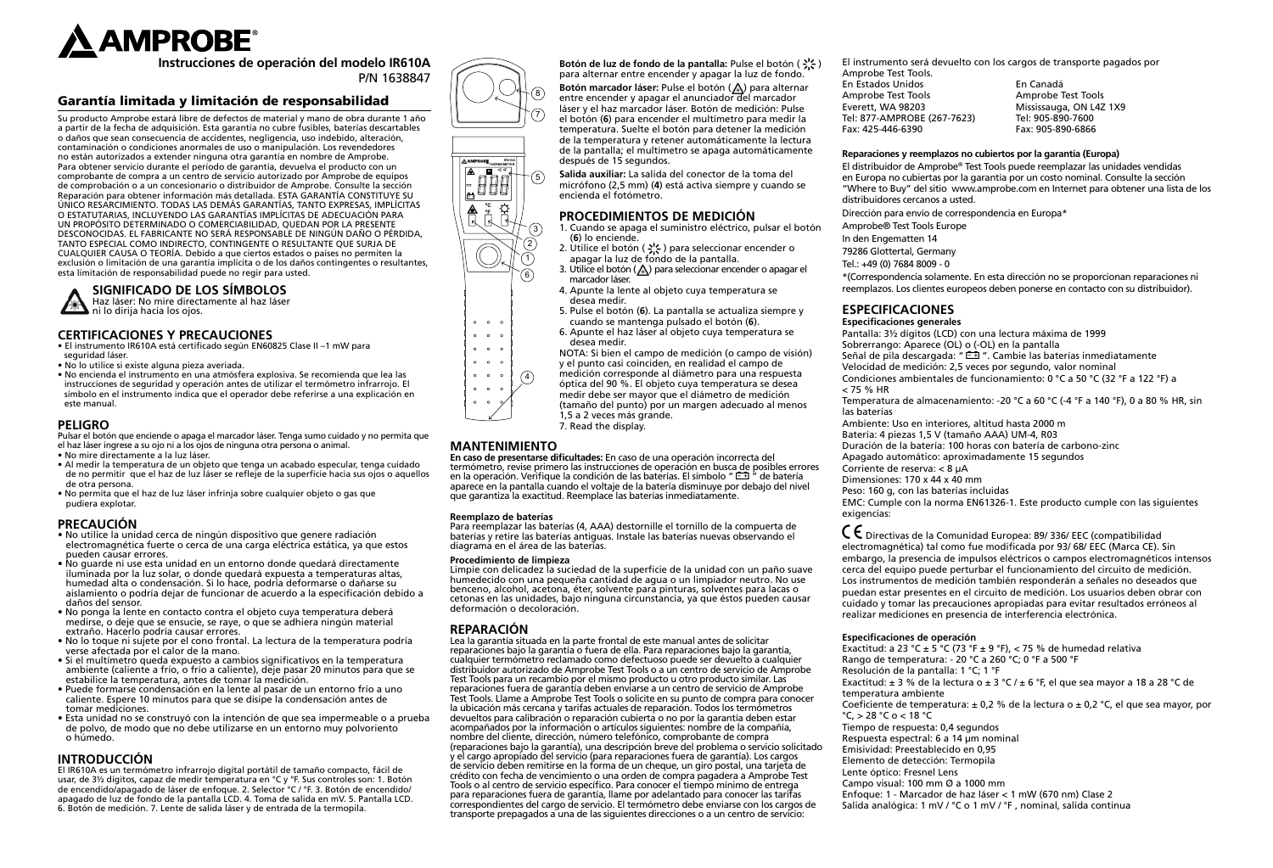

**Instrucciones de operación del modelo IR610A** P/N 1638847

# Garantía limitada y limitación de responsabilidad

Su producto Amprobe estará libre de defectos de material y mano de obra durante 1 año a partir de la fecha de adquisición. Esta garantía no cubre fusibles, baterías descartables o daños que sean consecuencia de accidentes, negligencia, uso indebido, alteración, contaminación o condiciones anormales de uso o manipulación. Los revendedores no están autorizados a extender ninguna otra garantía en nombre de Amprobe. Para obtener servicio durante el período de garantía, devuelva el producto con un comprobante de compra a un centro de servicio autorizado por Amprobe de equipos de comprobación o a un concesionario o distribuidor de Amprobe. Consulte la sección Reparación para obtener información más detallada. ESTA GARANTÍA CONSTITUYE SU ÚNICO RESARCIMIENTO. TODAS LAS DEMÁS GARANTÍAS, TANTO EXPRESAS, IMPLÍCITAS O ESTATUTARIAS, INCLUYENDO LAS GARANTÍAS IMPLÍCITAS DE ADECUACIÓN PARA UN PROPÓSITO DETERMINADO O COMERCIABILIDAD, QUEDAN POR LA PRESENTE DESCONOCIDAS. EL FABRICANTE NO SERÁ RESPONSABLE DE NINGÚN DAÑO O PÉRDIDA, TANTO ESPECIAL COMO INDIRECTO, CONTINGENTE O RESULTANTE QUE SURJA DE CUALQUIER CAUSA O TEORÍA. Debido a que ciertos estados o países no permiten la exclusión o limitación de una garantía implícita o de los daños contingentes o resultantes, esta limitación de responsabilidad puede no regir para usted.

# **SIGNIFICADO DE LOS SÍMBOLOS**

Haz láser: No mire directamente al haz láser ni lo dirija hacia los ojos.

# **CERTIFICACIONES Y PRECAUCIONES**

- El instrumento IR610A está certificado según EN60825 Clase II –1 mW para seguridad láser.
- No lo utilice si existe alguna pieza averiada.
- No encienda el instrumento en una atmósfera explosiva. Se recomienda que lea las instrucciones de seguridad y operación antes de utilizar el termómetro infrarrojo. El símbolo en el instrumento indica que el operador debe referirse a una explicación en este manual.

# **PELIGRO**

Pulsar el botón que enciende o apaga el marcador láser. Tenga sumo cuidado y no permita que el haz láser ingrese a su ojo ni a los ojos de ninguna otra persona o animal.

- No mire directamente a la luz láser.
- Al medir la temperatura de un objeto que tenga un acabado especular, tenga cuidado de no permitir que el haz de luz láser se refleje de la superficie hacia sus ojos o aquellos de otra persona.
- No permita que el haz de luz láser infrinja sobre cualquier objeto o gas que pudiera explotar.

#### **PRECAUCIÓN**

- No utilice la unidad cerca de ningún dispositivo que genere radiación electromagnética fuerte o cerca de una carga eléctrica estática, ya que estos pueden causar errores.
- No guarde ni use esta unidad en un entorno donde quedará directamente iluminada por la luz solar, o donde quedará expuesta a temperaturas altas, humedad alta o condensación. Si lo hace, podría deformarse o dañarse su aislamiento o podría dejar de funcionar de acuerdo a la especificación debido a daños del sensor.
- No ponga la lente en contacto contra el objeto cuya temperatura deberá medirse, o deje que se ensucie, se raye, o que se adhiera ningún material extraño. Hacerlo podría causar errores.
- No lo toque ni sujete por el cono frontal. La lectura de la temperatura podría verse afectada por el calor de la mano.
- Si el multímetro queda expuesto a cambios significativos en la temperatura ambiente (caliente a frío, o frío a caliente), deje pasar 20 minutos para que se estabilice la temperatura, antes de tomar la medición.
- Puede formarse condensación en la lente al pasar de un entorno frío a uno caliente. Espere 10 minutos para que se disipe la condensación antes de tomar mediciones.
- Esta unidad no se construyó con la intención de que sea impermeable o a prueba de polvo, de modo que no debe utilizarse en un entorno muy polvoriento o húmedo.

# **INTRODUCCIÓN**

El IR610A es un termómetro infrarrojo digital portátil de tamaño compacto, fácil de usar, de 3½ dígitos, capaz de medir temperatura en °C y °F. Sus controles son: 1. Botón de encendido/apagado de láser de enfoque. 2. Selector °C / °F. 3. Botón de encendido/ apagado de luz de fondo de la pantalla LCD. 4. Toma de salida en mV. 5. Pantalla LCD. 6. Botón de medición. 7. Lente de salida láser y de entrada de la termopila.









5. Pulse el botón (**6**). La pantalla se actualiza siempre y cuando se mantenga pulsado el botón (**6**).

**Botón de luz de fondo de la pantalla:** Pulse el botón ( $\frac{1}{2}$ ; )

de la pantalla; el multímetro se apaga automáticamente

1. Cuando se apaga el suministro eléctrico, pulsar el botón

**Salida auxiliar:** La salida del conector de la toma del micrófono (2,5 mm) (**4**) está activa siempre y cuando se

2. Utilice el botón ( $\div$ ; ) para seleccionar encender o

después de 15 segundos.

encienda el fotómetro.

(**6**) lo enciende.

6. Apunte el haz láser al objeto cuya temperatura se desea medir.

**PROCEDIMIENTOS DE MEDICIÓN**

- NOTA: Si bien el campo de medición (o campo de visión) y el punto casi coinciden, en realidad el campo de
- medición corresponde al diámetro para una respuesta  $\binom{4}{}$
- óptica del 90 %. El objeto cuya temperatura se desea
	- medir debe ser mayor que el diámetro de medición (tamaño del punto) por un margen adecuado al menos 1,5 a 2 veces más grande. 7. Read the display.

# **MANTENIMIENTO**

**En caso de presentarse dificultades:** En caso de una operación incorrecta del termómetro, revise primero las instrucciones de operación en busca de posibles errores en la operación. Verifique la condición de las baterías. El símbolo "  $\Box$ " de batería aparece en la pantalla cuando el voltaje de la batería disminuye por debajo del nivel que garantiza la exactitud. Reemplace las baterías inmediatamente.

#### **Reemplazo de baterías**

Para reemplazar las baterías (4, AAA) destornille el tornillo de la compuerta de baterías y retire las baterías antiguas. Instale las baterías nuevas observando el diagrama en el área de las baterías.

#### **Procedimiento de limpieza**

Limpie con delicadez la suciedad de la superficie de la unidad con un paño suave humedecido con una pequeña cantidad de agua o un limpiador neutro. No use benceno, alcohol, acetona, éter, solvente para pinturas, solventes para lacas o cetonas en las unidades, bajo ninguna circunstancia, ya que éstos pueden causar deformación o decoloración.

# **REPARACIÓN**

Lea la garantía situada en la parte frontal de este manual antes de solicitar reparaciones bajo la garantía o fuera de ella. Para reparaciones bajo la garantía, cualquier termómetro reclamado como defectuoso puede ser devuelto a cualquier distribuidor autorizado de Amprobe Test Tools o a un centro de servicio de Amprobe Test Tools para un recambio por el mismo producto u otro producto similar. Las reparaciones fuera de garantía deben enviarse a un centro de servicio de Amprobe Test Tools. Llame a Amprobe Test Tools o solicite en su punto de compra para conocer la ubicación más cercana y tarifas actuales de reparación. Todos los termómetros devueltos para calibración o reparación cubierta o no por la garantía deben estar acompañados por la información o artículos siguientes: nombre de la compañía, nombre del cliente, dirección, número telefónico, comprobante de compra (reparaciones bajo la garantía), una descripción breve del problema o servicio solicitado y el cargo apropiado del servicio (para reparaciones fuera de garantía). Los cargos de servicio deben remitirse en la forma de un cheque, un giro postal, una tarjeta de crédito con fecha de vencimiento o una orden de compra pagadera a Amprobe Test Tools o al centro de servicio específico. Para conocer el tiempo mínimo de entrega para reparaciones fuera de garantía, llame por adelantado para conocer las tarifas correspondientes del cargo de servicio. El termómetro debe enviarse con los cargos de transporte prepagados a una de las siguientes direcciones o a un centro de servicio:

El instrumento será devuelto con los cargos de transporte pagados por Amprobe Test Tools.

En Estados Unidos En Canadá Everett, WA 98203 Mississauga, ON L4Z 1X9 Tel: 877-AMPROBE (267-7623)<br>Fax: 425-446-6390

Amprobe Test Tools Fax: 905-890-6866

#### **Reparaciones y reemplazos no cubiertos por la garantía (Europa)**

El distribuidor de Amprobe® Test Tools puede reemplazar las unidades vendidas en Europa no cubiertas por la garantía por un costo nominal. Consulte la sección "Where to Buy" del sitio www.amprobe.com en Internet para obtener una lista de los distribuidores cercanos a usted.

Dirección para envío de correspondencia en Europa\*

Amprobe® Test Tools Europe

In den Engematten 14

79286 Glottertal, Germany

Tel.: +49 (0) 7684 8009 - 0

\*(Correspondencia solamente. En esta dirección no se proporcionan reparaciones ni reemplazos. Los clientes europeos deben ponerse en contacto con su distribuidor).

# **ESPECIFICACIONES**

**Especificaciones generales**

Pantalla: 3½ dígitos (LCD) con una lectura máxima de 1999 Sobrerrango: Aparece (OL) o (-OL) en la pantalla Señal de pila descargada: "  $\equiv$  ". Cambie las baterías inmediatamente Velocidad de medición: 2,5 veces por segundo, valor nominal Condiciones ambientales de funcionamiento: 0 °C a 50 °C (32 °F a 122 °F) a < 75 % HR

Temperatura de almacenamiento: -20 °C a 60 °C (-4 °F a 140 °F), 0 a 80 % HR, sin las baterías

Ambiente: Uso en interiores, altitud hasta 2000 m

Batería: 4 piezas 1,5 V (tamaño AAA) UM-4, R03

Duración de la batería: 100 horas con batería de carbono-zinc

Apagado automático: aproximadamente 15 segundos

Corriente de reserva: < 8 µA

Dimensiones: 170 x 44 x 40 mm

Peso: 160 g, con las baterías incluidas

EMC: Cumple con la norma EN61326-1. Este producto cumple con las siguientes exigencias:

� Directivas de la Comunidad Europea: 89/ 336/ EEC (compatibilidad electromagnética) tal como fue modificada por 93/ 68/ EEC (Marca CE). Sin embargo, la presencia de impulsos eléctricos o campos electromagnéticos intensos cerca del equipo puede perturbar el funcionamiento del circuito de medición. Los instrumentos de medición también responderán a señales no deseados que puedan estar presentes en el circuito de medición. Los usuarios deben obrar con cuidado y tomar las precauciones apropiadas para evitar resultados erróneos al realizar mediciones en presencia de interferencia electrónica.

#### **Especificaciones de operación**

Exactitud: a 23 °C  $\pm$  5 °C (73 °F  $\pm$  9 °F), < 75 % de humedad relativa Rango de temperatura: - 20 °C a 260 °C; 0 °F a 500 °F Resolución de la pantalla: 1 °C; 1 °F Exactitud:  $\pm$  3 % de la lectura o  $\pm$  3 °C /  $\pm$  6 °F, el que sea mayor a 18 a 28 °C de temperatura ambiente Coeficiente de temperatura:  $\pm$  0,2 % de la lectura o  $\pm$  0,2 °C, el que sea mayor, por °C, > 28 °C o < 18 °C Tiempo de respuesta: 0,4 segundos Respuesta espectral: 6 a 14 µm nominal Emisividad: Preestablecido en 0,95 Elemento de detección: Termopila Lente óptico: Fresnel Lens Campo visual: 100 mm Ø a 1000 mm Enfoque: 1 - Marcador de haz láser < 1 mW (670 nm) Clase 2 Salida analógica: 1 mV / °C o 1 mV / °F , nominal, salida continua



 $\circ$   $\circ$   $\circ$  $\ddot{\phantom{a}}$  $\circ$   $\circ$   $\circ$  $0 \quad 0 \quad 0$